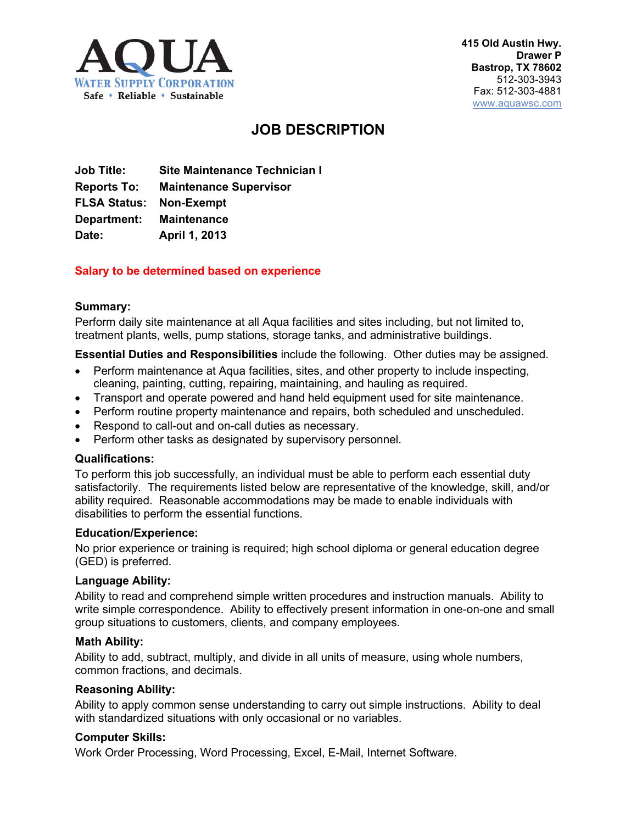

# **JOB DESCRIPTION**

**Job Title: Site Maintenance Technician I Reports To: Maintenance Supervisor FLSA Status: Non-Exempt Department: Maintenance Date: April 1, 2013**

## **Salary to be determined based on experience**

#### **Summary:**

Perform daily site maintenance at all Aqua facilities and sites including, but not limited to, treatment plants, wells, pump stations, storage tanks, and administrative buildings.

**Essential Duties and Responsibilities** include the following. Other duties may be assigned.

- Perform maintenance at Aqua facilities, sites, and other property to include inspecting, cleaning, painting, cutting, repairing, maintaining, and hauling as required.
- Transport and operate powered and hand held equipment used for site maintenance.
- Perform routine property maintenance and repairs, both scheduled and unscheduled.
- Respond to call-out and on-call duties as necessary.
- Perform other tasks as designated by supervisory personnel.

#### **Qualifications:**

To perform this job successfully, an individual must be able to perform each essential duty satisfactorily. The requirements listed below are representative of the knowledge, skill, and/or ability required. Reasonable accommodations may be made to enable individuals with disabilities to perform the essential functions.

#### **Education/Experience:**

No prior experience or training is required; high school diploma or general education degree (GED) is preferred.

#### **Language Ability:**

Ability to read and comprehend simple written procedures and instruction manuals. Ability to write simple correspondence. Ability to effectively present information in one-on-one and small group situations to customers, clients, and company employees.

#### **Math Ability:**

Ability to add, subtract, multiply, and divide in all units of measure, using whole numbers, common fractions, and decimals.

#### **Reasoning Ability:**

Ability to apply common sense understanding to carry out simple instructions. Ability to deal with standardized situations with only occasional or no variables.

#### **Computer Skills:**

Work Order Processing, Word Processing, Excel, E-Mail, Internet Software.